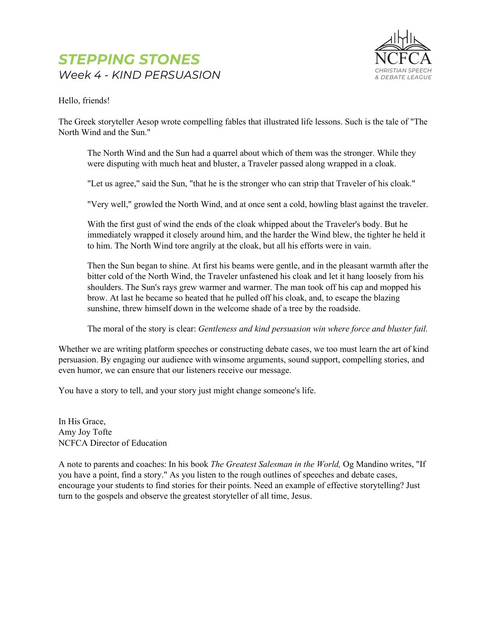

Hello, friends!

The Greek storyteller Aesop wrote compelling fables that illustrated life lessons. Such is the tale of "The North Wind and the Sun."

The North Wind and the Sun had a quarrel about which of them was the stronger. While they were disputing with much heat and bluster, a Traveler passed along wrapped in a cloak.

"Let us agree," said the Sun, "that he is the stronger who can strip that Traveler of his cloak."

"Very well," growled the North Wind, and at once sent a cold, howling blast against the traveler.

With the first gust of wind the ends of the cloak whipped about the Traveler's body. But he immediately wrapped it closely around him, and the harder the Wind blew, the tighter he held it to him. The North Wind tore angrily at the cloak, but all his efforts were in vain.

Then the Sun began to shine. At first his beams were gentle, and in the pleasant warmth after the bitter cold of the North Wind, the Traveler unfastened his cloak and let it hang loosely from his shoulders. The Sun's rays grew warmer and warmer. The man took off his cap and mopped his brow. At last he became so heated that he pulled off his cloak, and, to escape the blazing sunshine, threw himself down in the welcome shade of a tree by the roadside.

The moral of the story is clear: *Gentleness and kind persuasion win where force and bluster fail.*

Whether we are writing platform speeches or constructing debate cases, we too must learn the art of kind persuasion. By engaging our audience with winsome arguments, sound support, compelling stories, and even humor, we can ensure that our listeners receive our message.

You have a story to tell, and your story just might change someone's life.

In His Grace, Amy Joy Tofte NCFCA Director of Education

A note to parents and coaches: In his book *The Greatest Salesman in the World,* Og Mandino writes, "If you have a point, find a story." As you listen to the rough outlines of speeches and debate cases, encourage your students to find stories for their points. Need an example of effective storytelling? Just turn to the gospels and observe the greatest storyteller of all time, Jesus.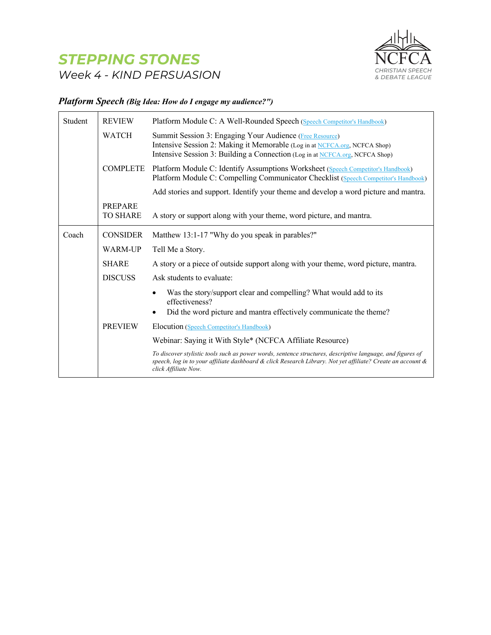

#### *Platform Speech (Big Idea: How do I engage my audience?")*

| Student | <b>REVIEW</b>                     | Platform Module C: A Well-Rounded Speech (Speech Competitor's Handbook)                                                                                                                                                                           |
|---------|-----------------------------------|---------------------------------------------------------------------------------------------------------------------------------------------------------------------------------------------------------------------------------------------------|
|         | <b>WATCH</b>                      | Summit Session 3: Engaging Your Audience (Free Resource)<br>Intensive Session 2: Making it Memorable (Log in at NCFCA.org, NCFCA Shop)<br>Intensive Session 3: Building a Connection (Log in at NCFCA.org, NCFCA Shop)                            |
|         | <b>COMPLETE</b>                   | Platform Module C: Identify Assumptions Worksheet (Speech Competitor's Handbook)<br>Platform Module C: Compelling Communicator Checklist (Speech Competitor's Handbook)                                                                           |
|         |                                   | Add stories and support. Identify your theme and develop a word picture and mantra.                                                                                                                                                               |
|         | <b>PREPARE</b><br><b>TO SHARE</b> | A story or support along with your theme, word picture, and mantra.                                                                                                                                                                               |
| Coach   | <b>CONSIDER</b>                   | Matthew 13:1-17 "Why do you speak in parables?"                                                                                                                                                                                                   |
|         | <b>WARM-UP</b>                    | Tell Me a Story.                                                                                                                                                                                                                                  |
|         | <b>SHARE</b>                      | A story or a piece of outside support along with your theme, word picture, mantra.                                                                                                                                                                |
|         | <b>DISCUSS</b>                    | Ask students to evaluate:                                                                                                                                                                                                                         |
|         |                                   | Was the story/support clear and compelling? What would add to its<br>effectiveness?<br>Did the word picture and mantra effectively communicate the theme?                                                                                         |
|         | <b>PREVIEW</b>                    | Elocution (Speech Competitor's Handbook)                                                                                                                                                                                                          |
|         |                                   | Webinar: Saying it With Style* (NCFCA Affiliate Resource)                                                                                                                                                                                         |
|         |                                   | To discover stylistic tools such as power words, sentence structures, descriptive language, and figures of<br>speech, log in to your affiliate dashboard & click Research Library. Not yet affiliate? Create an account &<br>click Affiliate Now. |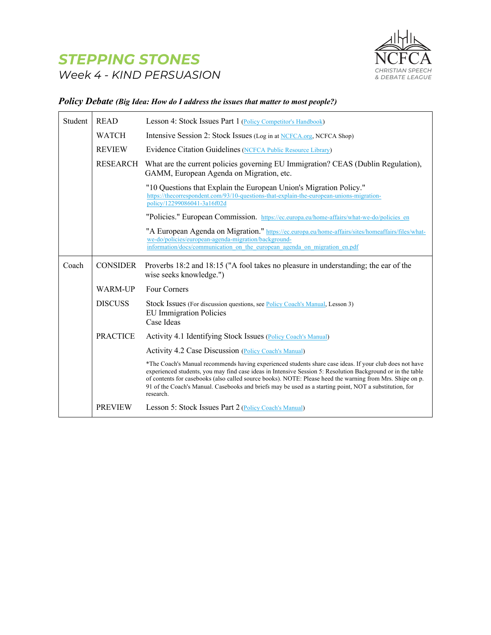

#### *Policy Debate (Big Idea: How do I address the issues that matter to most people?)*

| Student | <b>READ</b>     | Lesson 4: Stock Issues Part 1 (Policy Competitor's Handbook)                                                                                                                                                                                                                                                                                                                                                                                                |
|---------|-----------------|-------------------------------------------------------------------------------------------------------------------------------------------------------------------------------------------------------------------------------------------------------------------------------------------------------------------------------------------------------------------------------------------------------------------------------------------------------------|
|         | <b>WATCH</b>    | Intensive Session 2: Stock Issues (Log in at NCFCA.org, NCFCA Shop)                                                                                                                                                                                                                                                                                                                                                                                         |
|         | <b>REVIEW</b>   | Evidence Citation Guidelines (NCFCA Public Resource Library)                                                                                                                                                                                                                                                                                                                                                                                                |
|         | <b>RESEARCH</b> | What are the current policies governing EU Immigration? CEAS (Dublin Regulation),<br>GAMM, European Agenda on Migration, etc.                                                                                                                                                                                                                                                                                                                               |
|         |                 | "10 Questions that Explain the European Union's Migration Policy."<br>https://thecorrespondent.com/93/10-questions-that-explain-the-european-unions-migration-<br>policy/12299086041-3a16f02d                                                                                                                                                                                                                                                               |
|         |                 | "Policies." European Commission. https://ec.europa.eu/home-affairs/what-we-do/policies_en                                                                                                                                                                                                                                                                                                                                                                   |
|         |                 | "A European Agenda on Migration." https://ec.europa.eu/home-affairs/sites/homeaffairs/files/what-<br>we-do/policies/european-agenda-migration/background-<br>information/docs/communication on the european agenda on migration en.pdf                                                                                                                                                                                                                      |
| Coach   | <b>CONSIDER</b> | Proverbs 18:2 and 18:15 ("A fool takes no pleasure in understanding; the ear of the<br>wise seeks knowledge.")                                                                                                                                                                                                                                                                                                                                              |
|         | <b>WARM-UP</b>  | Four Corners                                                                                                                                                                                                                                                                                                                                                                                                                                                |
|         | <b>DISCUSS</b>  | Stock Issues (For discussion questions, see <b>Policy Coach's Manual</b> , Lesson 3)<br><b>EU</b> Immigration Policies<br>Case Ideas                                                                                                                                                                                                                                                                                                                        |
|         | <b>PRACTICE</b> | Activity 4.1 Identifying Stock Issues (Policy Coach's Manual)                                                                                                                                                                                                                                                                                                                                                                                               |
|         |                 | Activity 4.2 Case Discussion (Policy Coach's Manual)                                                                                                                                                                                                                                                                                                                                                                                                        |
|         |                 | *The Coach's Manual recommends having experienced students share case ideas. If your club does not have<br>experienced students, you may find case ideas in Intensive Session 5: Resolution Background or in the table<br>of contents for casebooks (also called source books). NOTE: Please heed the warning from Mrs. Shipe on p.<br>91 of the Coach's Manual. Casebooks and briefs may be used as a starting point, NOT a substitution, for<br>research. |
|         | <b>PREVIEW</b>  | Lesson 5: Stock Issues Part 2 (Policy Coach's Manual)                                                                                                                                                                                                                                                                                                                                                                                                       |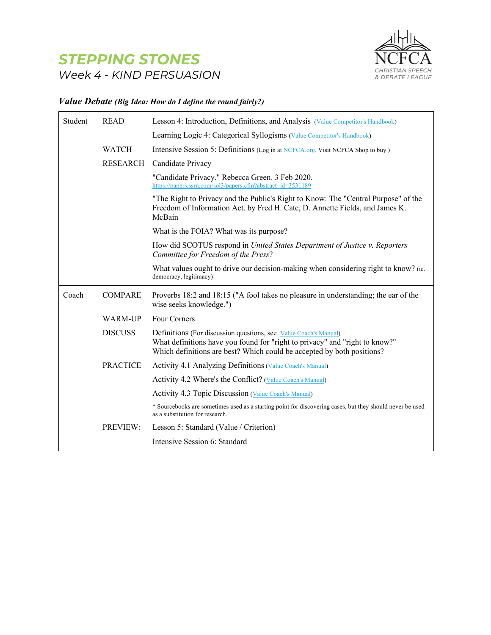

#### *Value Debate (Big Idea: How do I define the round fairly?)*

| Student | <b>READ</b>     | Lesson 4: Introduction, Definitions, and Analysis (Value Competitor's Handbook)                                                                                                                                           |
|---------|-----------------|---------------------------------------------------------------------------------------------------------------------------------------------------------------------------------------------------------------------------|
|         |                 | Learning Logic 4: Categorical Syllogisms (Value Competitor's Handbook)                                                                                                                                                    |
|         | <b>WATCH</b>    | Intensive Session 5: Definitions (Log in at NCFCA.org. Visit NCFCA Shop to buy.)                                                                                                                                          |
|         | RESEARCH        | Candidate Privacy                                                                                                                                                                                                         |
|         |                 | "Candidate Privacy." Rebecca Green. 3 Feb 2020.<br>https://papers.ssrn.com/sol3/papers.cfm?abstract_id=3531189                                                                                                            |
|         |                 | "The Right to Privacy and the Public's Right to Know: The "Central Purpose" of the<br>Freedom of Information Act. by Fred H. Cate, D. Annette Fields, and James K.<br>McBain                                              |
|         |                 | What is the FOIA? What was its purpose?                                                                                                                                                                                   |
|         |                 | How did SCOTUS respond in United States Department of Justice v. Reporters<br>Committee for Freedom of the Press?                                                                                                         |
|         |                 | What values ought to drive our decision-making when considering right to know? (ie.<br>democracy, legitimacy)                                                                                                             |
| Coach   | <b>COMPARE</b>  | Proverbs 18:2 and 18:15 ("A fool takes no pleasure in understanding; the ear of the<br>wise seeks knowledge.")                                                                                                            |
|         | WARM-UP         | Four Corners                                                                                                                                                                                                              |
|         | <b>DISCUSS</b>  | Definitions (For discussion questions, see Value Coach's Manual)<br>What definitions have you found for "right to privacy" and "right to know?"<br>Which definitions are best? Which could be accepted by both positions? |
|         | <b>PRACTICE</b> | Activity 4.1 Analyzing Definitions (Value Coach's Manual)                                                                                                                                                                 |
|         |                 | Activity 4.2 Where's the Conflict? (Value Coach's Manual)                                                                                                                                                                 |
|         |                 | Activity 4.3 Topic Discussion (Value Coach's Manual)                                                                                                                                                                      |
|         |                 | * Sourcebooks are sometimes used as a starting point for discovering cases, but they should never be used<br>as a substitution for research.                                                                              |
|         | PREVIEW:        | Lesson 5: Standard (Value / Criterion)                                                                                                                                                                                    |
|         |                 | Intensive Session 6: Standard                                                                                                                                                                                             |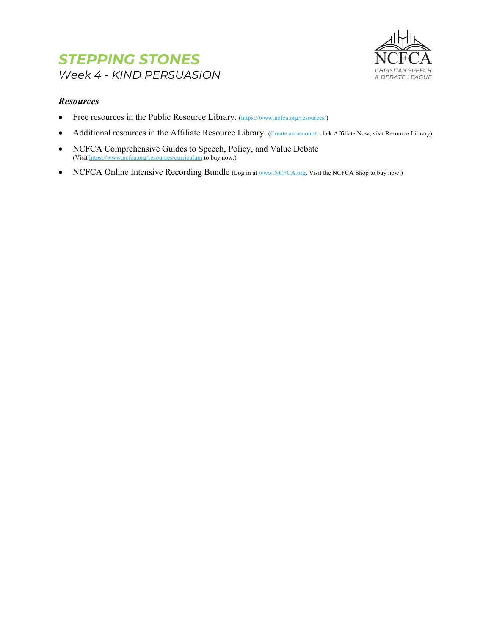

#### *Resources*

- Free resources in the Public Resource Library. (https://www.ncfca.org/resources/)
- Additional resources in the Affiliate Resource Library. (Create an account, click Affiliate Now, visit Resource Library)
- NCFCA Comprehensive Guides to Speech, Policy, and Value Debate (Visit https://www.ncfca.org/resources/curriculum to buy now.)
- NCFCA Online Intensive Recording Bundle (Log in at www.NCFCA.org. Visit the NCFCA Shop to buy now.)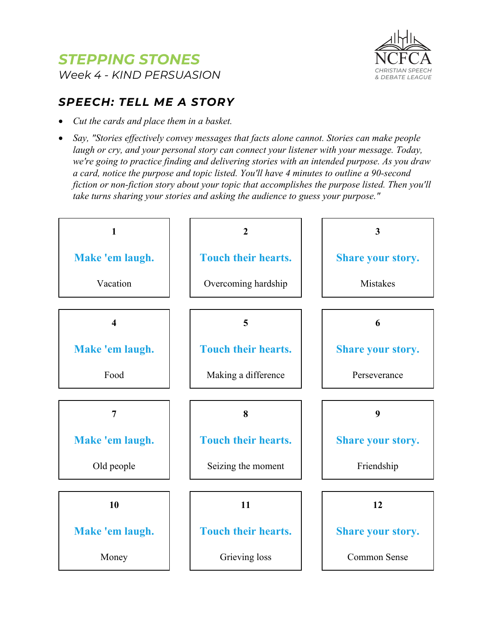



### *SPEECH: TELL ME A STORY*

- *Cut the cards and place them in a basket.*
- *Say, "Stories effectively convey messages that facts alone cannot. Stories can make people laugh or cry, and your personal story can connect your listener with your message. Today, we're going to practice finding and delivering stories with an intended purpose. As you draw a card, notice the purpose and topic listed. You'll have 4 minutes to outline a 90-second fiction or non-fiction story about your topic that accomplishes the purpose listed. Then you'll take turns sharing your stories and asking the audience to guess your purpose."*

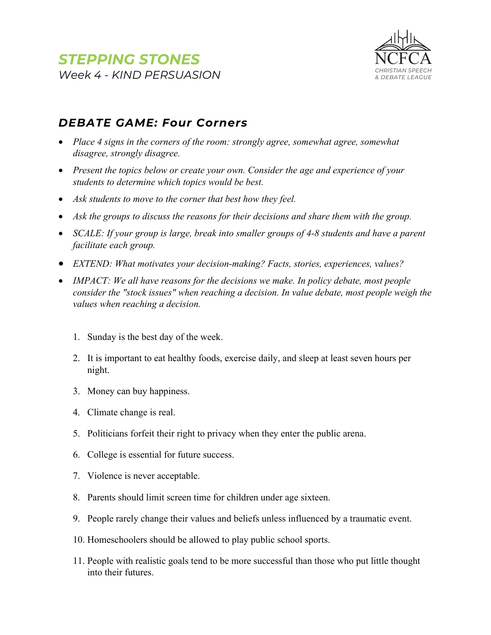

### *DEBATE GAME: Four Corners*

- *Place 4 signs in the corners of the room: strongly agree, somewhat agree, somewhat disagree, strongly disagree.*
- *Present the topics below or create your own. Consider the age and experience of your students to determine which topics would be best.*
- *Ask students to move to the corner that best how they feel.*
- Ask the groups to discuss the reasons for their decisions and share them with the group.
- *SCALE: If your group is large, break into smaller groups of 4-8 students and have a parent facilitate each group.*
- *EXTEND: What motivates your decision-making? Facts, stories, experiences, values?*
- *IMPACT: We all have reasons for the decisions we make. In policy debate, most people consider the "stock issues" when reaching a decision. In value debate, most people weigh the values when reaching a decision.*
	- 1. Sunday is the best day of the week.
	- 2. It is important to eat healthy foods, exercise daily, and sleep at least seven hours per night.
	- 3. Money can buy happiness.
	- 4. Climate change is real.
	- 5. Politicians forfeit their right to privacy when they enter the public arena.
	- 6. College is essential for future success.
	- 7. Violence is never acceptable.
	- 8. Parents should limit screen time for children under age sixteen.
	- 9. People rarely change their values and beliefs unless influenced by a traumatic event.
	- 10. Homeschoolers should be allowed to play public school sports.
	- 11. People with realistic goals tend to be more successful than those who put little thought into their futures.